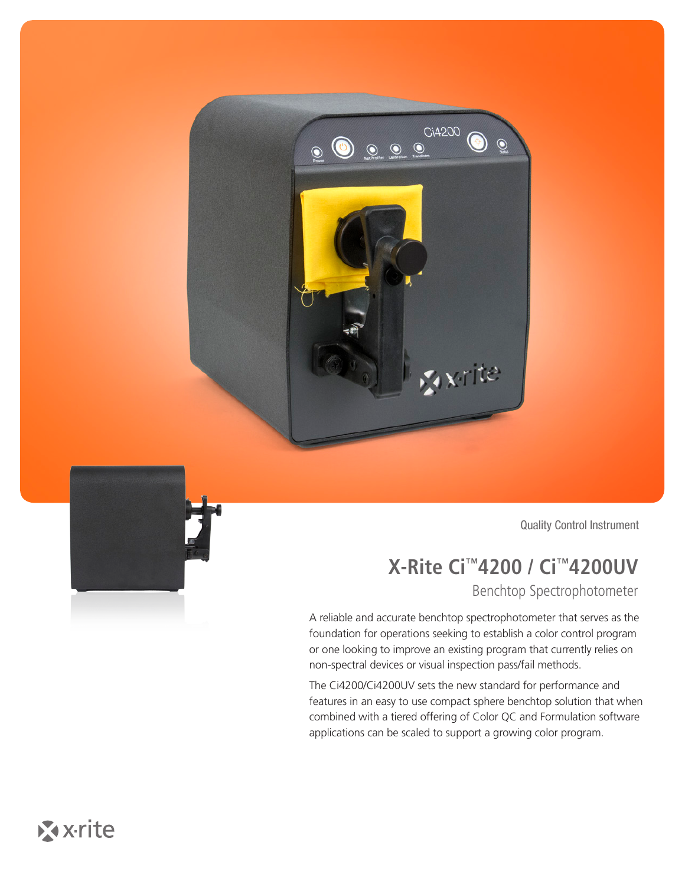



Quality Control Instrument

## **X-Rite Ci™4200 / Ci™4200UV**

Benchtop Spectrophotometer

A reliable and accurate benchtop spectrophotometer that serves as the foundation for operations seeking to establish a color control program or one looking to improve an existing program that currently relies on non-spectral devices or visual inspection pass/fail methods.

The Ci4200/Ci4200UV sets the new standard for performance and features in an easy to use compact sphere benchtop solution that when combined with a tiered offering of Color QC and Formulation software applications can be scaled to support a growing color program.